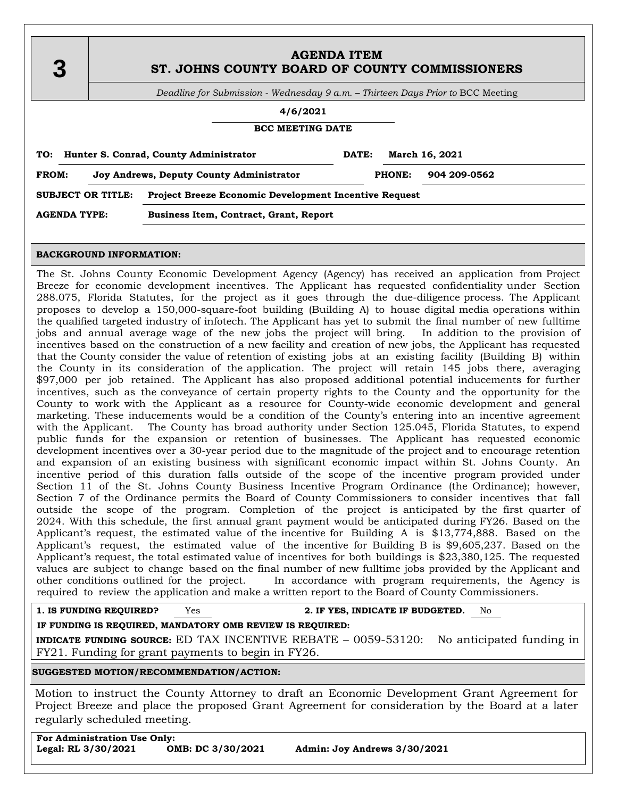| 3 | <b>AGENDA ITEM</b><br>ST. JOHNS COUNTY BOARD OF COUNTY COMMISSIONERS            |  |  |
|---|---------------------------------------------------------------------------------|--|--|
|   | Deadline for Submission - Wednesday 9 a.m. - Thirteen Days Prior to BCC Meeting |  |  |
|   | 4/6/2021                                                                        |  |  |
|   | <b>BCC MEETING DATE</b>                                                         |  |  |

| TO:                                                                                      |  | Hunter S. Conrad, County Administrator        | DATE:        | March 16, 2021 |
|------------------------------------------------------------------------------------------|--|-----------------------------------------------|--------------|----------------|
| FROM:<br>Joy Andrews, Deputy County Administrator                                        |  | <b>PHONE:</b>                                 | 904 209-0562 |                |
| <b>SUBJECT OR TITLE:</b><br><b>Project Breeze Economic Development Incentive Request</b> |  |                                               |              |                |
| <b>AGENDA TYPE:</b>                                                                      |  | <b>Business Item, Contract, Grant, Report</b> |              |                |

#### **BACKGROUND INFORMATION:**

The St. Johns County Economic Development Agency (Agency) has received an application from Project Breeze for economic development incentives. The Applicant has requested confidentiality under Section 288.075, Florida Statutes, for the project as it goes through the due-diligence process. The Applicant proposes to develop a 150,000-square-foot building (Building A) to house digital media operations within the qualified targeted industry of infotech. The Applicant has yet to submit the final number of new fulltime jobs and annual average wage of the new jobs the project will bring. In addition to the provision of incentives based on the construction of a new facility and creation of new jobs, the Applicant has requested that the County consider the value of retention of existing jobs at an existing facility (Building B) within the County in its consideration of the application. The project will retain 145 jobs there, averaging \$97,000 per job retained. The Applicant has also proposed additional potential inducements for further incentives, such as the conveyance of certain property rights to the County and the opportunity for the County to work with the Applicant as a resource for County-wide economic development and general marketing. These inducements would be a condition of the County's entering into an incentive agreement with the Applicant. The County has broad authority under Section 125.045, Florida Statutes, to expend public funds for the expansion or retention of businesses. The Applicant has requested economic development incentives over a 30-year period due to the magnitude of the project and to encourage retention and expansion of an existing business with significant economic impact within St. Johns County. An incentive period of this duration falls outside of the scope of the incentive program provided under Section 11 of the St. Johns County Business Incentive Program Ordinance (the Ordinance); however, Section 7 of the Ordinance permits the Board of County Commissioners to consider incentives that fall outside the scope of the program. Completion of the project is anticipated by the first quarter of 2024. With this schedule, the first annual grant payment would be anticipated during FY26. Based on the Applicant's request, the estimated value of the incentive for Building A is \$13,774,888. Based on the Applicant's request, the estimated value of the incentive for Building B is \$9,605,237. Based on the Applicant's request, the total estimated value of incentives for both buildings is \$23,380,125. The requested values are subject to change based on the final number of new fulltime jobs provided by the Applicant and other conditions outlined for the project. In accordance with program requirements, the Agency is required to review the application and make a written report to the Board of County Commissioners.

**1. IS FUNDING REQUIRED?** Yes **2. IF YES, INDICATE IF BUDGETED.** No

**IF FUNDING IS REQUIRED, MANDATORY OMB REVIEW IS REQUIRED:**

**INDICATE FUNDING SOURCE:** ED TAX INCENTIVE REBATE – 0059-53120: No anticipated funding in FY21. Funding for grant payments to begin in FY26.

**SUGGESTED MOTION/RECOMMENDATION/ACTION:**

Motion to instruct the County Attorney to draft an Economic Development Grant Agreement for Project Breeze and place the proposed Grant Agreement for consideration by the Board at a later regularly scheduled meeting.

| <b>For Administration Use Only:</b> |                   |                              |  |
|-------------------------------------|-------------------|------------------------------|--|
| Legal: RL 3/30/2021                 | OMB: DC 3/30/2021 | Admin: Joy Andrews 3/30/2021 |  |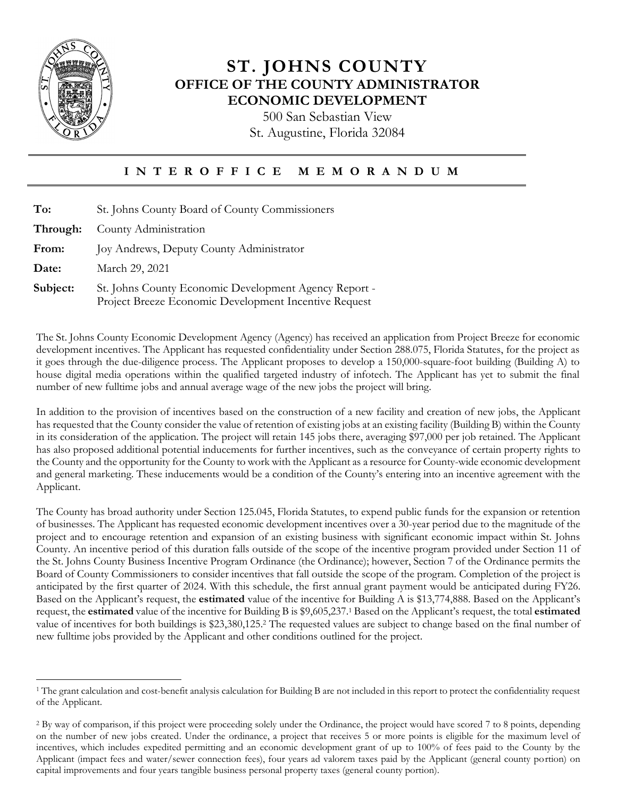

#### **ST. JOHNS COUNTY OFFICE OF THE COUNTY ADMINISTRATOR ECONOMIC DEVELOPMENT**

500 San Sebastian View St. Augustine, Florida 32084

#### **I N T E R O F F I C E M E M O R A N D U M**

| To:      | St. Johns County Board of County Commissioners                                                                 |  |
|----------|----------------------------------------------------------------------------------------------------------------|--|
| Through: | County Administration                                                                                          |  |
| From:    | Joy Andrews, Deputy County Administrator                                                                       |  |
| Date:    | March 29, 2021                                                                                                 |  |
| Subject: | St. Johns County Economic Development Agency Report -<br>Project Breeze Economic Development Incentive Request |  |

The St. Johns County Economic Development Agency (Agency) has received an application from Project Breeze for economic development incentives. The Applicant has requested confidentiality under Section 288.075, Florida Statutes, for the project as it goes through the due-diligence process. The Applicant proposes to develop a 150,000-square-foot building (Building A) to house digital media operations within the qualified targeted industry of infotech. The Applicant has yet to submit the final number of new fulltime jobs and annual average wage of the new jobs the project will bring.

In addition to the provision of incentives based on the construction of a new facility and creation of new jobs, the Applicant has requested that the County consider the value of retention of existing jobs at an existing facility (Building B) within the County in its consideration of the application. The project will retain 145 jobs there, averaging \$97,000 per job retained. The Applicant has also proposed additional potential inducements for further incentives, such as the conveyance of certain property rights to the County and the opportunity for the County to work with the Applicant as a resource for County-wide economic development and general marketing. These inducements would be a condition of the County's entering into an incentive agreement with the Applicant.

The County has broad authority under Section 125.045, Florida Statutes, to expend public funds for the expansion or retention of businesses. The Applicant has requested economic development incentives over a 30-year period due to the magnitude of the project and to encourage retention and expansion of an existing business with significant economic impact within St. Johns County. An incentive period of this duration falls outside of the scope of the incentive program provided under Section 11 of the St. Johns County Business Incentive Program Ordinance (the Ordinance); however, Section 7 of the Ordinance permits the Board of County Commissioners to consider incentives that fall outside the scope of the program. Completion of the project is anticipated by the first quarter of 2024. With this schedule, the first annual grant payment would be anticipated during FY26. Based on the Applicant's request, the **estimated** value of the incentive for Building A is \$13,774,888. Based on the Applicant's request, the **estimated** value of the incentive for Building B is \$9,605,237. <sup>1</sup> Based on the Applicant's request, the total **estimated**  value of incentives for both buildings is \$23,380,125. <sup>2</sup> The requested values are subject to change based on the final number of new fulltime jobs provided by the Applicant and other conditions outlined for the project.

 $\overline{a}$ <sup>1</sup> The grant calculation and cost-benefit analysis calculation for Building B are not included in this report to protect the confidentiality request of the Applicant.

<sup>&</sup>lt;sup>2</sup> By way of comparison, if this project were proceeding solely under the Ordinance, the project would have scored 7 to 8 points, depending on the number of new jobs created. Under the ordinance, a project that receives 5 or more points is eligible for the maximum level of incentives, which includes expedited permitting and an economic development grant of up to 100% of fees paid to the County by the Applicant (impact fees and water/sewer connection fees), four years ad valorem taxes paid by the Applicant (general county portion) on capital improvements and four years tangible business personal property taxes (general county portion).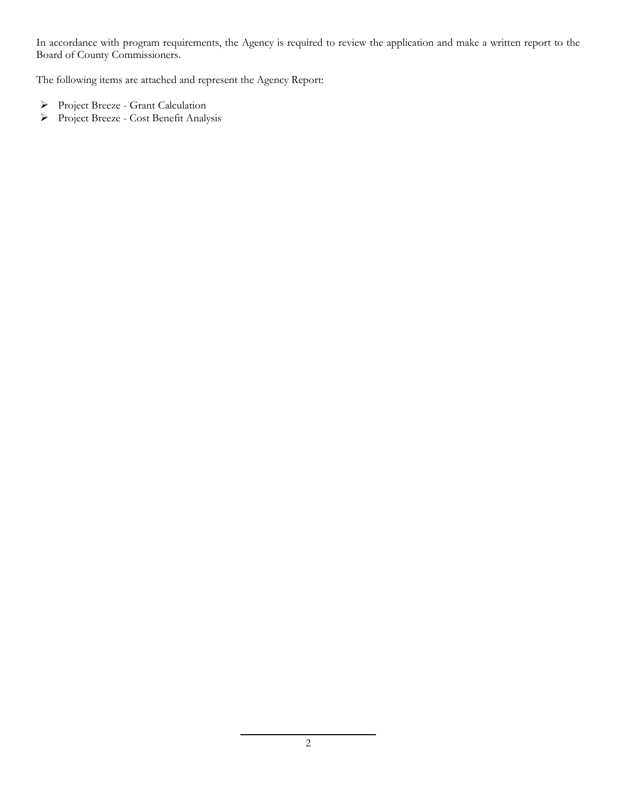In accordance with program requirements, the Agency is required to review the application and make a written report to the Board of County Commissioners.

The following items are attached and represent the Agency Report:

- Project Breeze Grant Calculation
- Project Breeze Cost Benefit Analysis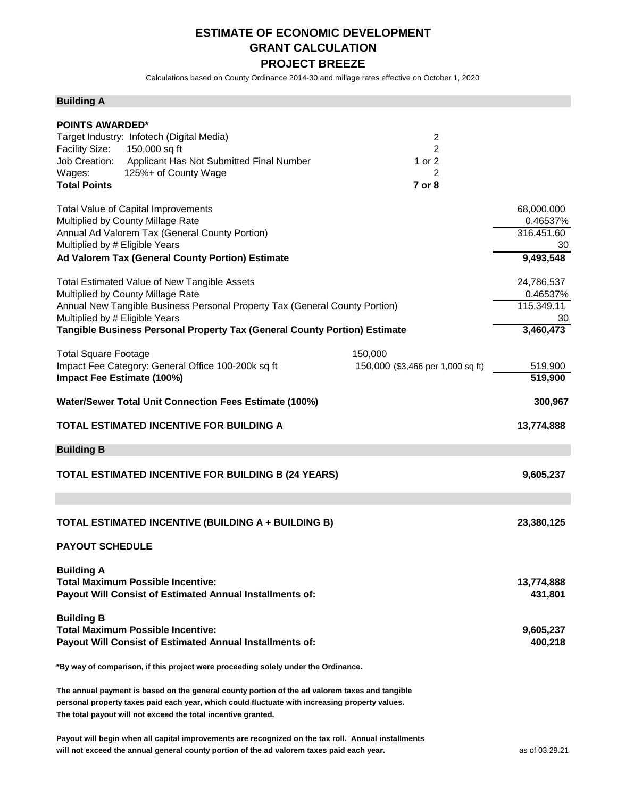#### **ESTIMATE OF ECONOMIC DEVELOPMENT GRANT CALCULATION PROJECT BREEZE**

Calculations based on County Ordinance 2014-30 and millage rates effective on October 1, 2020

#### **Building A**

| <b>POINTS AWARDED*</b>         |                                                                                                     |                                   |            |
|--------------------------------|-----------------------------------------------------------------------------------------------------|-----------------------------------|------------|
|                                | Target Industry: Infotech (Digital Media)                                                           | $\overline{2}$                    |            |
| <b>Facility Size:</b>          | 150,000 sq ft                                                                                       | 2                                 |            |
|                                | Job Creation: Applicant Has Not Submitted Final Number                                              | 1 or 2<br>2                       |            |
| Wages:<br><b>Total Points</b>  | 125%+ of County Wage                                                                                | 7 or 8                            |            |
|                                |                                                                                                     |                                   |            |
|                                | Total Value of Capital Improvements                                                                 |                                   | 68,000,000 |
|                                | Multiplied by County Millage Rate                                                                   |                                   | 0.46537%   |
|                                | Annual Ad Valorem Tax (General County Portion)                                                      |                                   | 316,451.60 |
| Multiplied by # Eligible Years |                                                                                                     |                                   | 30         |
|                                | Ad Valorem Tax (General County Portion) Estimate                                                    |                                   | 9,493,548  |
|                                | <b>Total Estimated Value of New Tangible Assets</b>                                                 |                                   | 24,786,537 |
|                                | Multiplied by County Millage Rate                                                                   |                                   | 0.46537%   |
|                                | Annual New Tangible Business Personal Property Tax (General County Portion)                         |                                   | 115,349.11 |
| Multiplied by # Eligible Years |                                                                                                     |                                   | 30         |
|                                | Tangible Business Personal Property Tax (General County Portion) Estimate                           |                                   | 3,460,473  |
| <b>Total Square Footage</b>    |                                                                                                     | 150,000                           |            |
|                                | Impact Fee Category: General Office 100-200k sq ft                                                  | 150,000 (\$3,466 per 1,000 sq ft) | 519,900    |
| Impact Fee Estimate (100%)     |                                                                                                     |                                   | 519,900    |
|                                |                                                                                                     |                                   |            |
|                                | Water/Sewer Total Unit Connection Fees Estimate (100%)                                              |                                   | 300,967    |
|                                | TOTAL ESTIMATED INCENTIVE FOR BUILDING A                                                            |                                   | 13,774,888 |
| <b>Building B</b>              |                                                                                                     |                                   |            |
|                                | TOTAL ESTIMATED INCENTIVE FOR BUILDING B (24 YEARS)                                                 |                                   | 9,605,237  |
|                                |                                                                                                     |                                   |            |
|                                |                                                                                                     |                                   |            |
|                                | TOTAL ESTIMATED INCENTIVE (BUILDING A + BUILDING B)                                                 |                                   | 23,380,125 |
| <b>PAYOUT SCHEDULE</b>         |                                                                                                     |                                   |            |
|                                |                                                                                                     |                                   |            |
| <b>Building A</b>              |                                                                                                     |                                   |            |
|                                | <b>Total Maximum Possible Incentive:</b>                                                            |                                   | 13,774,888 |
|                                | Payout Will Consist of Estimated Annual Installments of:                                            |                                   | 431,801    |
|                                |                                                                                                     |                                   |            |
| <b>Building B</b>              |                                                                                                     |                                   |            |
|                                | <b>Total Maximum Possible Incentive:</b>                                                            |                                   | 9,605,237  |
|                                | Payout Will Consist of Estimated Annual Installments of:                                            |                                   | 400,218    |
|                                | *By way of comparison, if this project were proceeding solely under the Ordinance.                  |                                   |            |
|                                | The annual payment is based on the general county portion of the ad valorem taxes and tangible      |                                   |            |
|                                | personal property taxes paid each year, which could fluctuate with increasing property values.      |                                   |            |
|                                | The total payout will not exceed the total incentive granted.                                       |                                   |            |
|                                |                                                                                                     |                                   |            |
|                                | Payout will begin when all capital improvements are recognized on the tax roll. Annual installments |                                   |            |

will not exceed the annual general county portion of the ad valorem taxes paid each year. **All and the advalorer as a set of 03.29.21**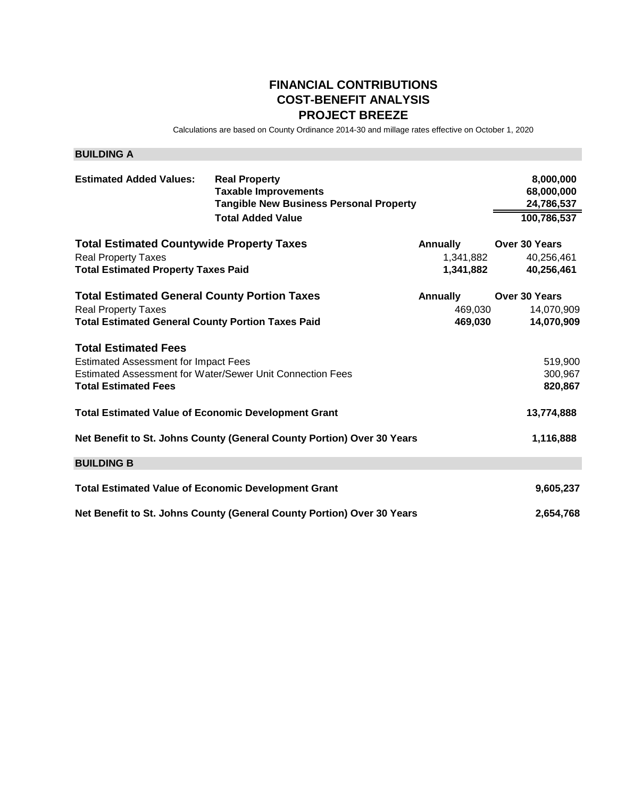#### **FINANCIAL CONTRIBUTIONS COST-BENEFIT ANALYSIS PROJECT BREEZE**

Calculations are based on County Ordinance 2014-30 and millage rates effective on October 1, 2020

| <b>BUILDING A</b>                                                                                                                             |                                                                                                                                   |                                           |                                                      |
|-----------------------------------------------------------------------------------------------------------------------------------------------|-----------------------------------------------------------------------------------------------------------------------------------|-------------------------------------------|------------------------------------------------------|
| <b>Estimated Added Values:</b>                                                                                                                | <b>Real Property</b><br><b>Taxable Improvements</b><br><b>Tangible New Business Personal Property</b><br><b>Total Added Value</b> |                                           | 8,000,000<br>68,000,000<br>24,786,537<br>100,786,537 |
| <b>Total Estimated Countywide Property Taxes</b><br><b>Real Property Taxes</b><br><b>Total Estimated Property Taxes Paid</b>                  |                                                                                                                                   | <b>Annually</b><br>1,341,882<br>1,341,882 | Over 30 Years<br>40,256,461<br>40,256,461            |
| <b>Total Estimated General County Portion Taxes</b><br><b>Real Property Taxes</b><br><b>Total Estimated General County Portion Taxes Paid</b> |                                                                                                                                   | <b>Annually</b><br>469,030<br>469,030     | Over 30 Years<br>14,070,909<br>14,070,909            |
| <b>Total Estimated Fees</b><br><b>Estimated Assessment for Impact Fees</b><br><b>Total Estimated Fees</b>                                     | Estimated Assessment for Water/Sewer Unit Connection Fees                                                                         |                                           | 519,900<br>300,967<br>820,867                        |
| <b>Total Estimated Value of Economic Development Grant</b>                                                                                    |                                                                                                                                   |                                           | 13,774,888                                           |
|                                                                                                                                               | Net Benefit to St. Johns County (General County Portion) Over 30 Years                                                            |                                           | 1,116,888                                            |
| <b>BUILDING B</b>                                                                                                                             |                                                                                                                                   |                                           |                                                      |
| <b>Total Estimated Value of Economic Development Grant</b>                                                                                    |                                                                                                                                   |                                           | 9,605,237                                            |
|                                                                                                                                               | Net Benefit to St. Johns County (General County Portion) Over 30 Years                                                            |                                           | 2,654,768                                            |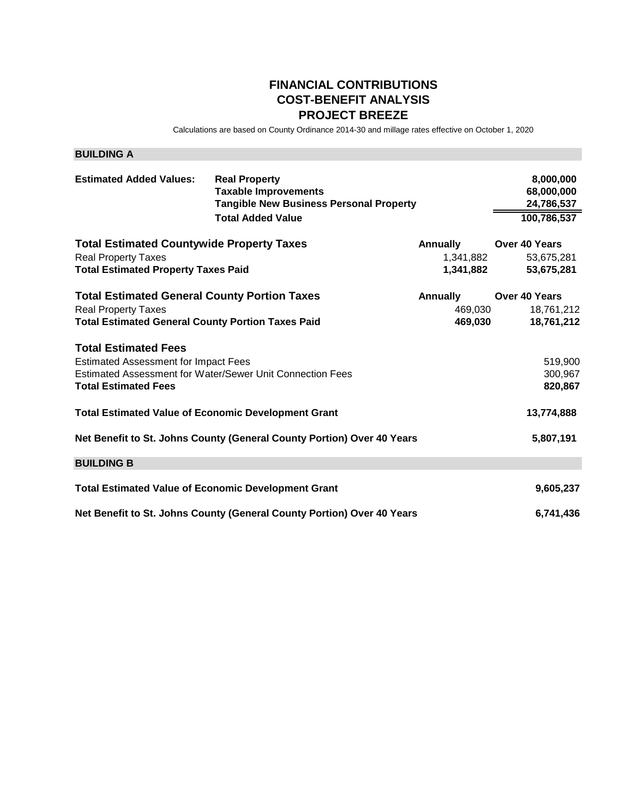#### **FINANCIAL CONTRIBUTIONS COST-BENEFIT ANALYSIS PROJECT BREEZE**

Calculations are based on County Ordinance 2014-30 and millage rates effective on October 1, 2020

| <b>BUILDING A</b>                                                                                                                             |                                                                                                                                   |                                           |                                                      |
|-----------------------------------------------------------------------------------------------------------------------------------------------|-----------------------------------------------------------------------------------------------------------------------------------|-------------------------------------------|------------------------------------------------------|
| <b>Estimated Added Values:</b>                                                                                                                | <b>Real Property</b><br><b>Taxable Improvements</b><br><b>Tangible New Business Personal Property</b><br><b>Total Added Value</b> |                                           | 8,000,000<br>68,000,000<br>24,786,537<br>100,786,537 |
| <b>Total Estimated Countywide Property Taxes</b><br><b>Real Property Taxes</b><br><b>Total Estimated Property Taxes Paid</b>                  |                                                                                                                                   | <b>Annually</b><br>1,341,882<br>1,341,882 | Over 40 Years<br>53,675,281<br>53,675,281            |
| <b>Total Estimated General County Portion Taxes</b><br><b>Real Property Taxes</b><br><b>Total Estimated General County Portion Taxes Paid</b> |                                                                                                                                   | <b>Annually</b><br>469,030<br>469,030     | Over 40 Years<br>18,761,212<br>18,761,212            |
| <b>Total Estimated Fees</b><br><b>Estimated Assessment for Impact Fees</b><br><b>Total Estimated Fees</b>                                     | Estimated Assessment for Water/Sewer Unit Connection Fees                                                                         |                                           | 519,900<br>300,967<br>820,867                        |
| <b>Total Estimated Value of Economic Development Grant</b>                                                                                    |                                                                                                                                   |                                           | 13,774,888                                           |
|                                                                                                                                               | Net Benefit to St. Johns County (General County Portion) Over 40 Years                                                            |                                           | 5,807,191                                            |
| <b>BUILDING B</b>                                                                                                                             |                                                                                                                                   |                                           |                                                      |
| <b>Total Estimated Value of Economic Development Grant</b>                                                                                    |                                                                                                                                   |                                           | 9,605,237                                            |
|                                                                                                                                               | Net Benefit to St. Johns County (General County Portion) Over 40 Years                                                            |                                           | 6,741,436                                            |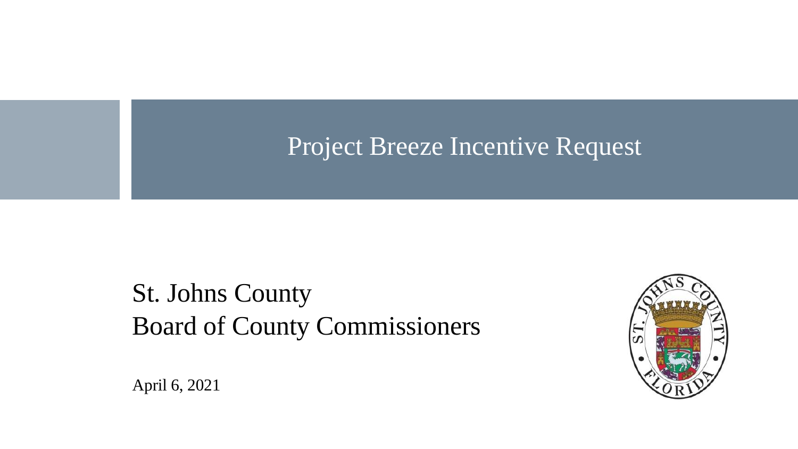# Project Breeze Incentive Request

St. Johns County Board of County Commissioners



April 6, 2021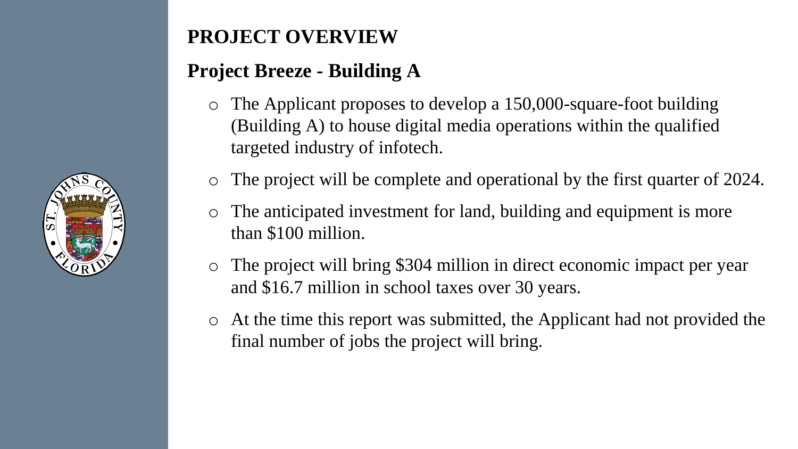

# **PROJECT OVERVIEW**

# **Project Breeze - Building A**

- o The Applicant proposes to develop a 150,000-square-foot building (Building A) to house digital media operations within the qualified targeted industry of infotech.
- o The project will be complete and operational by the first quarter of 2024.
- o The anticipated investment for land, building and equipment is more than \$100 million.
- o The project will bring \$304 million in direct economic impact per year and \$16.7 million in school taxes over 30 years.
- o At the time this report was submitted, the Applicant had not provided the final number of jobs the project will bring.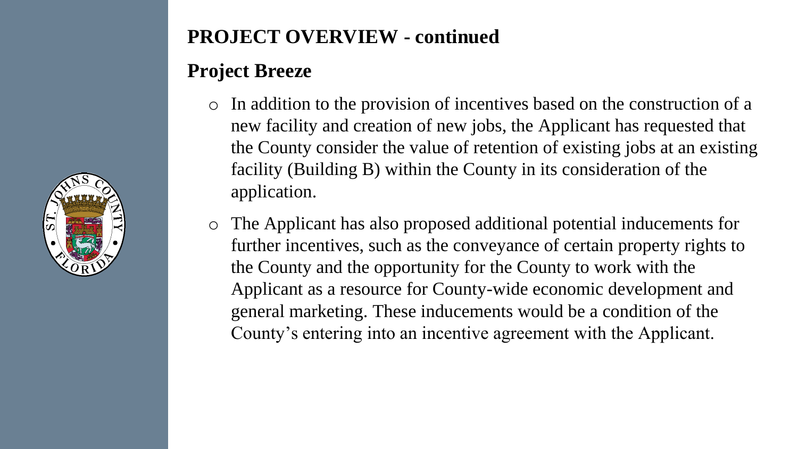

### **PROJECT OVERVIEW - continued**

### **Project Breeze**

- o In addition to the provision of incentives based on the construction of a new facility and creation of new jobs, the Applicant has requested that the County consider the value of retention of existing jobs at an existing facility (Building B) within the County in its consideration of the application.
- o The Applicant has also proposed additional potential inducements for further incentives, such as the conveyance of certain property rights to the County and the opportunity for the County to work with the Applicant as a resource for County-wide economic development and general marketing. These inducements would be a condition of the County's entering into an incentive agreement with the Applicant.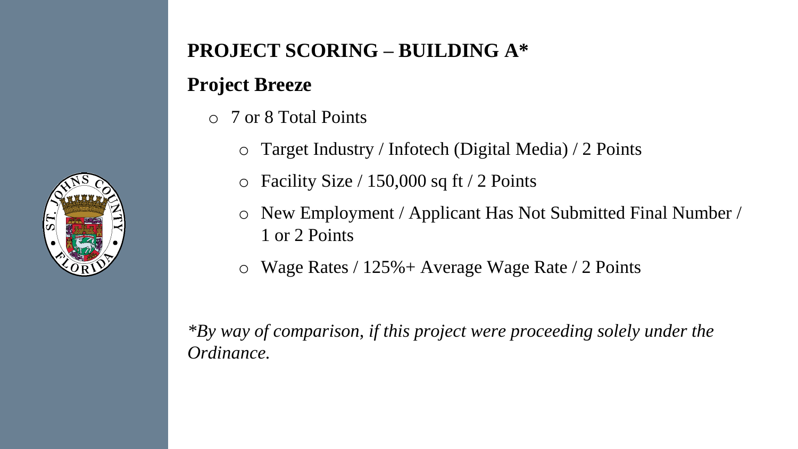

## **PROJECT SCORING – BUILDING A\***

# **Project Breeze**

- o 7 or 8 Total Points
	- o Target Industry / Infotech (Digital Media) / 2 Points
	- $\circ$  Facility Size / 150,000 sq ft / 2 Points
	- o New Employment / Applicant Has Not Submitted Final Number / 1 or 2 Points
	- o Wage Rates / 125%+ Average Wage Rate / 2 Points

*\*By way of comparison, if this project were proceeding solely under the Ordinance.*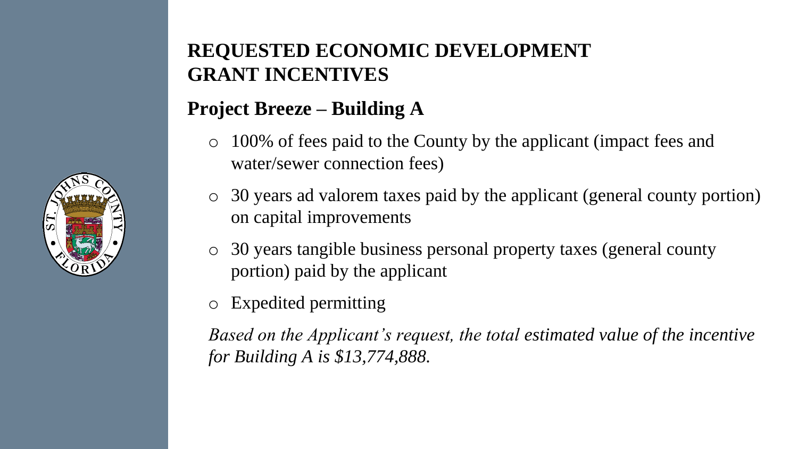

## **REQUESTED ECONOMIC DEVELOPMENT GRANT INCENTIVES**

# **Project Breeze – Building A**

- o 100% of fees paid to the County by the applicant (impact fees and water/sewer connection fees)
- o 30 years ad valorem taxes paid by the applicant (general county portion) on capital improvements
- o 30 years tangible business personal property taxes (general county portion) paid by the applicant
- o Expedited permitting

*Based on the Applicant's request, the total estimated value of the incentive for Building A is \$13,774,888.*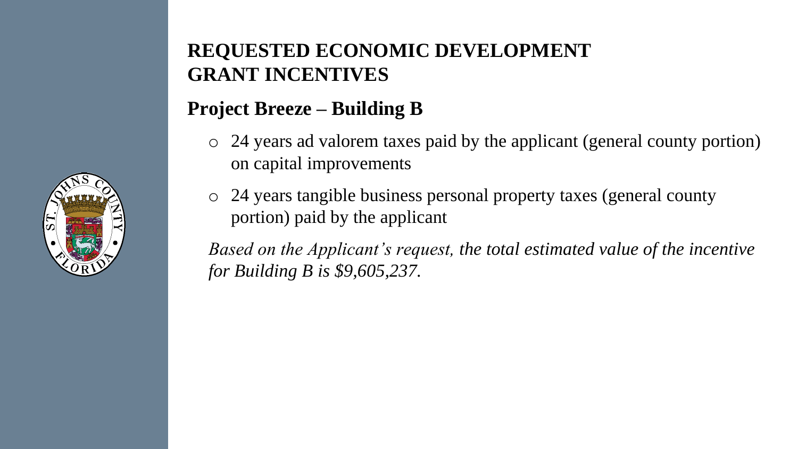

### **REQUESTED ECONOMIC DEVELOPMENT GRANT INCENTIVES**

# **Project Breeze – Building B**

- o 24 years ad valorem taxes paid by the applicant (general county portion) on capital improvements
- o 24 years tangible business personal property taxes (general county portion) paid by the applicant

*Based on the Applicant's request, the total estimated value of the incentive for Building B is \$9,605,237.*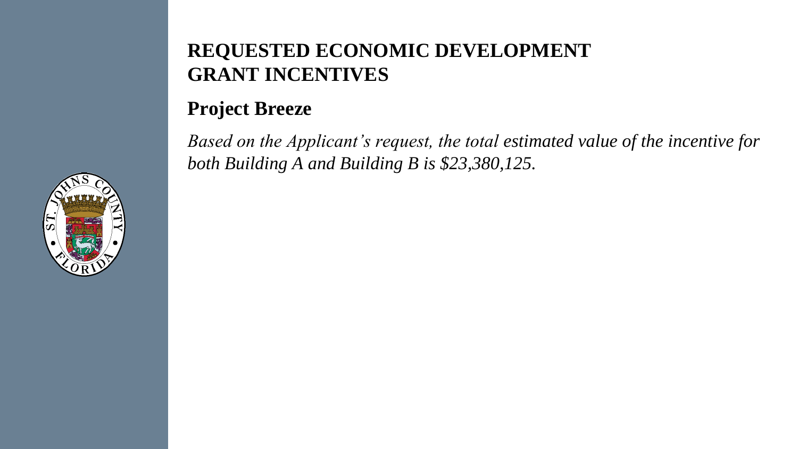### **REQUESTED ECONOMIC DEVELOPMENT GRANT INCENTIVES**

### **Project Breeze**

*Based on the Applicant's request, the total estimated value of the incentive for both Building A and Building B is \$23,380,125.*